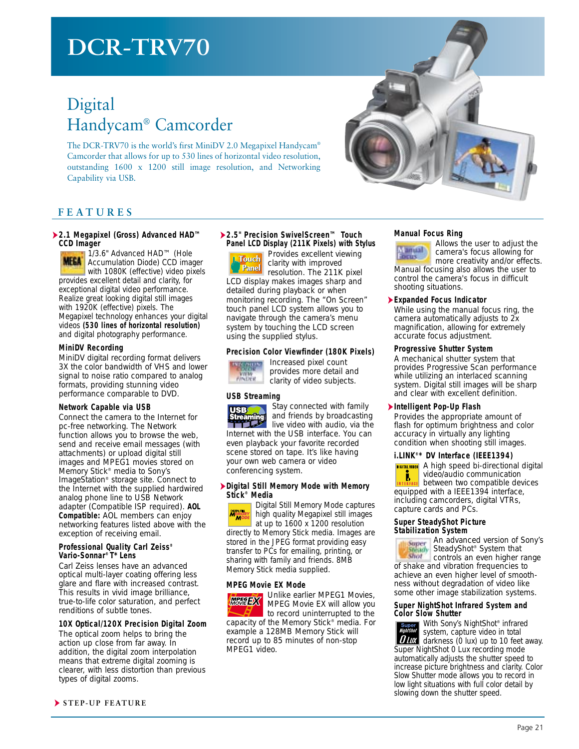# **DCR-TRV70**

## Digital Handycam® Camcorder

The DCR-TRV70 is the world's first MiniDV 2.0 Megapixel Handycam® Camcorder that allows for up to 530 lines of horizontal video resolution, outstanding 1600 x 1200 still image resolution, and Networking Capability via USB.



### **FEATURES**

#### ➤**2.1 Megapixel (Gross) Advanced HAD™ CCD Imager**

1/3.6" Advanced HAD™ (Hole **MELA** Accumulation Diode) CCD imager with 1080K (effective) video pixels provides excellent detail and clarity, for exceptional digital video performance. Realize great looking digital still images with 1920K (effective) pixels. The Megapixel technology enhances your digital videos **(530 lines of horizontal resolution)** and digital photography performance.

#### **MiniDV Recording**

MiniDV digital recording format delivers 3X the color bandwidth of VHS and lower signal to noise ratio compared to analog formats, providing stunning video performance comparable to DVD.

#### **Network Capable via USB**

Connect the camera to the Internet for pc-free networking. The Network function allows you to browse the web, send and receive email messages (with attachments) or upload digital still images and MPEG1 movies stored on Memory Stick® media to Sony's ImageStation® storage site. Connect to the Internet with the supplied hardwired analog phone line to USB Network adapter (Compatible ISP required). **AOL Compatible:** AOL members can enjoy networking features listed above with the exception of receiving email.

#### **Professional Quality Carl Zeiss® Vario-Sonnar® T\* Lens**

Carl Zeiss lenses have an advanced optical multi-layer coating offering less glare and flare with increased contrast. This results in vivid image brilliance, true-to-life color saturation, and perfect renditions of subtle tones.

#### **10X Optical/120X Precision Digital Zoom**

The optical zoom helps to bring the action up close from far away. In addition, the digital zoom interpolation means that extreme digital zooming is clearer, with less distortion than previous types of digital zooms.

#### ➤**2.5" Precision SwivelScreen™ Touch Panel LCD Display (211K Pixels) with Stylus** Provides excellent viewing

 $\begin{bmatrix} h & I & I \\ I & I & I \end{bmatrix}$  clarity with improved

**Panel** claims with the 211K pixel LCD display makes images sharp and detailed during playback or when monitoring recording. The "On Screen" touch panel LCD system allows you to navigate through the camera's menu system by touching the LCD screen using the supplied stylus.

#### **Precision Color Viewfinder (180K Pixels)**



provides more detail and **VIEW** clarity of video subjects.

#### **USB Streaming**



Stay connected with family and friends by broadcasting

live video with audio, via the **International Control of the USB interface.** You can internet with the USB interface. You can even playback your favorite recorded scene stored on tape. It's like having your own web camera or video conferencing system.

#### ➤**Digital Still Memory Mode with Memory Stick® Media**

Digital Still Memory Mode captures DIGITAL STILL<br>**MEMOR** high quality Megapixel still images wŏ at up to 1600 x 1200 resolution directly to Memory Stick media. Images are stored in the JPEG format providing easy transfer to PCs for emailing, printing, or sharing with family and friends. 8MB Memory Stick media supplied.

#### **MPEG Movie EX Mode**



Unlike earlier MPEG1 Movies, MPEG Movie EX will allow you to record uninterrupted to the

capacity of the Memory Stick® media. For example a 128MB Memory Stick will record up to 85 minutes of non-stop MPEG1 video.

#### **Manual Focus Ring**

Allows the user to adjust the amual camera's focus allowing for more creativity and/or effects.

Manual focusing also allows the user to control the camera's focus in difficult shooting situations.

#### ➤**Expanded Focus Indicator**

While using the manual focus ring, the camera automatically adjusts to 2x magnification, allowing for extremely accurate focus adjustment.

#### **Progressive Shutter System**

A mechanical shutter system that provides Progressive Scan performance while utilizing an interlaced scanning system. Digital still images will be sharp and clear with excellent definition.

#### ➤**Intelligent Pop-Up Flash**

Provides the appropriate amount of flash for optimum brightness and color accuracy in virtually any lighting condition when shooting still images.

#### **i.LINK®\* DV Interface (IEEE1394)**

**DIGITAL VIDEO** A high speed bi-directional digital video/audio communication Ĵ, between two compatible devices equipped with a IEEE1394 interface, including camcorders, digital VTRs, capture cards and PCs.

#### **Super SteadyShot Picture Stabilization System**

An advanced version of Sony's SteadyShot® System that shot controls an even higher range of shake and vibration frequencies to achieve an even higher level of smoothness without degradation of video like some other image stabilization systems.

#### **Super NightShot Infrared System and Color Slow Shutter**

With Sony's NightShot® infrared system, capture video in total **DIDX** darkness (0 lux) up to 10 feet away. Super NightShot 0 Lux recording mode automatically adjusts the shutter speed to increase picture brightness and clarity. Color Slow Shutter mode allows you to record in low light situations with full color detail by slowing down the shutter speed.